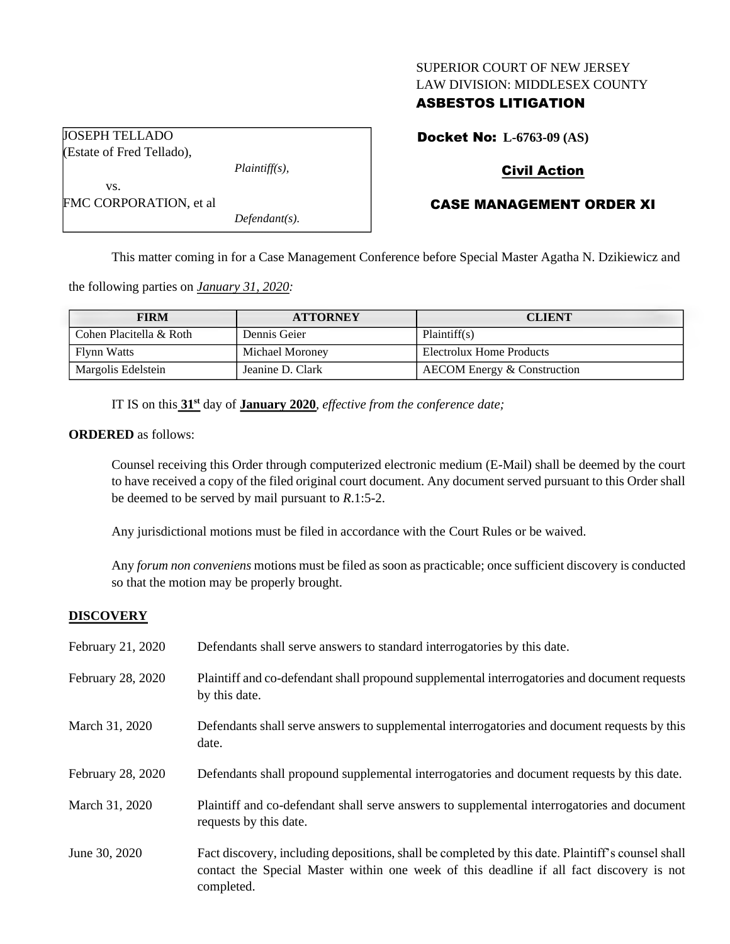## SUPERIOR COURT OF NEW JERSEY LAW DIVISION: MIDDLESEX COUNTY

## ASBESTOS LITIGATION

Docket No: **L-6763-09 (AS)**

# Civil Action

# CASE MANAGEMENT ORDER XI

FMC CORPORATION, et al

JOSEPH TELLADO (Estate of Fred Tellado),

vs.

*Defendant(s).*

*Plaintiff(s),*

This matter coming in for a Case Management Conference before Special Master Agatha N. Dzikiewicz and

the following parties on *January 31, 2020:*

| <b>FIRM</b>             | <b>ATTORNEY</b>  | <b>CLIENT</b>               |
|-------------------------|------------------|-----------------------------|
| Cohen Placitella & Roth | Dennis Geier     | Plaintiff(s)                |
| Flynn Watts             | Michael Moroney  | Electrolux Home Products    |
| Margolis Edelstein      | Jeanine D. Clark | AECOM Energy & Construction |

IT IS on this **31st** day of **January 2020**, *effective from the conference date;*

## **ORDERED** as follows:

Counsel receiving this Order through computerized electronic medium (E-Mail) shall be deemed by the court to have received a copy of the filed original court document. Any document served pursuant to this Order shall be deemed to be served by mail pursuant to *R*.1:5-2.

Any jurisdictional motions must be filed in accordance with the Court Rules or be waived.

Any *forum non conveniens* motions must be filed as soon as practicable; once sufficient discovery is conducted so that the motion may be properly brought.

## **DISCOVERY**

| February 21, 2020 | Defendants shall serve answers to standard interrogatories by this date.                                                                                                                                    |
|-------------------|-------------------------------------------------------------------------------------------------------------------------------------------------------------------------------------------------------------|
| February 28, 2020 | Plaintiff and co-defendant shall propound supplemental interrogatories and document requests<br>by this date.                                                                                               |
| March 31, 2020    | Defendants shall serve answers to supplemental interrogatories and document requests by this<br>date.                                                                                                       |
| February 28, 2020 | Defendants shall propound supplemental interrogatories and document requests by this date.                                                                                                                  |
| March 31, 2020    | Plaintiff and co-defendant shall serve answers to supplemental interrogatories and document<br>requests by this date.                                                                                       |
| June 30, 2020     | Fact discovery, including depositions, shall be completed by this date. Plaintiff's counsel shall<br>contact the Special Master within one week of this deadline if all fact discovery is not<br>completed. |